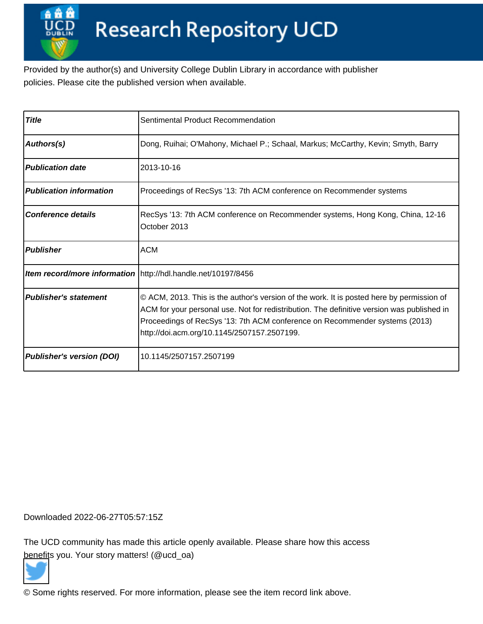Provided by the author(s) and University College Dublin Library in accordance with publisher policies. Please cite the published version when available.

| <b>Title</b>                     | Sentimental Product Recommendation                                                                                                                                                                                                                                                                                    |  |  |  |
|----------------------------------|-----------------------------------------------------------------------------------------------------------------------------------------------------------------------------------------------------------------------------------------------------------------------------------------------------------------------|--|--|--|
| Authors(s)                       | Dong, Ruihai; O'Mahony, Michael P.; Schaal, Markus; McCarthy, Kevin; Smyth, Barry                                                                                                                                                                                                                                     |  |  |  |
| <b>Publication date</b>          | 2013-10-16                                                                                                                                                                                                                                                                                                            |  |  |  |
| <b>Publication information</b>   | Proceedings of RecSys '13: 7th ACM conference on Recommender systems                                                                                                                                                                                                                                                  |  |  |  |
| <b>Conference details</b>        | RecSys '13: 7th ACM conference on Recommender systems, Hong Kong, China, 12-16<br>October 2013                                                                                                                                                                                                                        |  |  |  |
| <b>Publisher</b>                 | <b>ACM</b>                                                                                                                                                                                                                                                                                                            |  |  |  |
|                                  | <b>Item record/more information</b> http://hdl.handle.net/10197/8456                                                                                                                                                                                                                                                  |  |  |  |
| <b>Publisher's statement</b>     | © ACM, 2013. This is the author's version of the work. It is posted here by permission of<br>ACM for your personal use. Not for redistribution. The definitive version was published in<br>Proceedings of RecSys '13: 7th ACM conference on Recommender systems (2013)<br>http://doi.acm.org/10.1145/2507157.2507199. |  |  |  |
| <b>Publisher's version (DOI)</b> | 10.1145/2507157.2507199                                                                                                                                                                                                                                                                                               |  |  |  |

Downloaded 2022-06-27T05:57:15Z

The UCD community has made this article openly available. Please share how this access [benefit](https://twitter.com/intent/tweet?via=ucd_oa&text=DOI%3A10.1145%2F2507157.2507199&url=http%3A%2F%2Fhdl.handle.net%2F10197%2F8456)s you. Your story matters! (@ucd\_oa)



© Some rights reserved. For more information, please see the item record link above.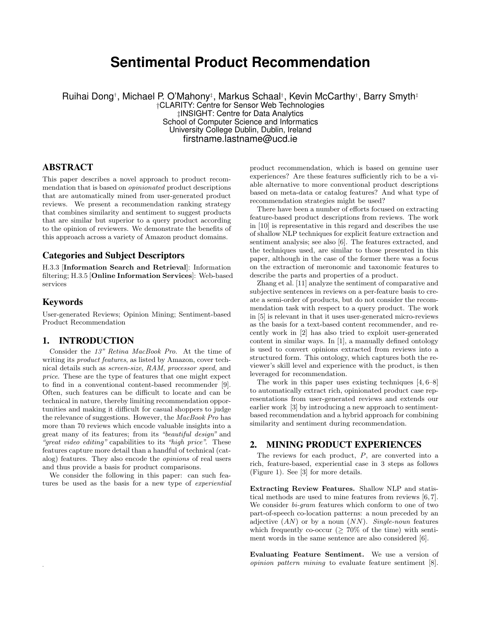# **Sentimental Product Recommendation**

Ruihai Dong† , Michael P. O'Mahony‡ , Markus Schaal† , Kevin McCarthy† , Barry Smyth‡ †CLARITY: Centre for Sensor Web Technologies ‡INSIGHT: Centre for Data Analytics School of Computer Science and Informatics University College Dublin, Dublin, Ireland firstname.lastname@ucd.ie

# ABSTRACT

This paper describes a novel approach to product recommendation that is based on opinionated product descriptions that are automatically mined from user-generated product reviews. We present a recommendation ranking strategy that combines similarity and sentiment to suggest products that are similar but superior to a query product according to the opinion of reviewers. We demonstrate the benefits of this approach across a variety of Amazon product domains.

# Categories and Subject Descriptors

H.3.3 [Information Search and Retrieval]: Information filtering; H.3.5 [Online Information Services]: Web-based services

# Keywords

.

User-generated Reviews; Opinion Mining; Sentiment-based Product Recommendation

# 1. INTRODUCTION

Consider the 13" Retina MacBook Pro. At the time of writing its *product features*, as listed by Amazon, cover technical details such as screen-size, RAM, processor speed, and price. These are the type of features that one might expect to find in a conventional content-based recommender [9]. Often, such features can be difficult to locate and can be technical in nature, thereby limiting recommendation opportunities and making it difficult for casual shoppers to judge the relevance of suggestions. However, the MacBook Pro has more than 70 reviews which encode valuable insights into a great many of its features; from its "beautiful design" and "great video editing" capabilities to its "high price". These features capture more detail than a handful of technical (catalog) features. They also encode the opinions of real users and thus provide a basis for product comparisons.

We consider the following in this paper: can such features be used as the basis for a new type of experiential product recommendation, which is based on genuine user experiences? Are these features sufficiently rich to be a viable alternative to more conventional product descriptions based on meta-data or catalog features? And what type of recommendation strategies might be used?

There have been a number of efforts focused on extracting feature-based product descriptions from reviews. The work in [10] is representative in this regard and describes the use of shallow NLP techniques for explicit feature extraction and sentiment analysis; see also [6]. The features extracted, and the techniques used, are similar to those presented in this paper, although in the case of the former there was a focus on the extraction of meronomic and taxonomic features to describe the parts and properties of a product.

Zhang et al. [11] analyze the sentiment of comparative and subjective sentences in reviews on a per-feature basis to create a semi-order of products, but do not consider the recommendation task with respect to a query product. The work in [5] is relevant in that it uses user-generated micro-reviews as the basis for a text-based content recommender, and recently work in [2] has also tried to exploit user-generated content in similar ways. In [1], a manually defined ontology is used to convert opinions extracted from reviews into a structured form. This ontology, which captures both the reviewer's skill level and experience with the product, is then leveraged for recommendation.

The work in this paper uses existing techniques [4, 6–8] to automatically extract rich, opinionated product case representations from user-generated reviews and extends our earlier work [3] by introducing a new approach to sentimentbased recommendation and a hybrid approach for combining similarity and sentiment during recommendation.

## 2. MINING PRODUCT EXPERIENCES

The reviews for each product,  $P$ , are converted into a rich, feature-based, experiential case in 3 steps as follows (Figure 1). See [3] for more details.

Extracting Review Features. Shallow NLP and statistical methods are used to mine features from reviews [6, 7]. We consider bi-gram features which conform to one of two part-of-speech co-location patterns: a noun preceded by an adjective  $(AN)$  or by a noun  $(NN)$ . Single-noun features which frequently co-occur ( $\geq 70\%$  of the time) with sentiment words in the same sentence are also considered [6].

Evaluating Feature Sentiment. We use a version of opinion pattern mining to evaluate feature sentiment [8].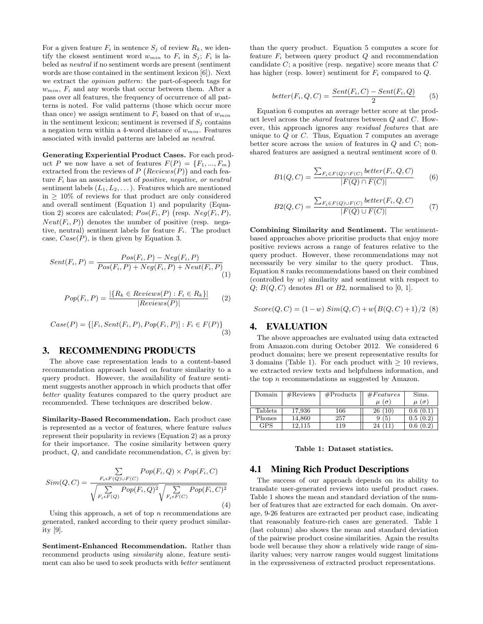For a given feature  $F_i$  in sentence  $S_j$  of review  $R_k$ , we identify the closest sentiment word  $w_{min}$  to  $F_i$  in  $S_i$ ;  $F_i$  is labeled as neutral if no sentiment words are present (sentiment words are those contained in the sentiment lexicon [6]). Next we extract the opinion pattern: the part-of-speech tags for  $w_{min}$ ,  $F_i$  and any words that occur between them. After a pass over all features, the frequency of occurrence of all patterns is noted. For valid patterns (those which occur more than once) we assign sentiment to  $F_i$  based on that of  $w_{min}$ in the sentiment lexicon; sentiment is reversed if  $S_i$  contains a negation term within a 4-word distance of  $w_{min}$ . Features associated with invalid patterns are labeled as neutral.

Generating Experiential Product Cases. For each product P we now have a set of features  $F(P) = \{F_1, ..., F_m\}$ extracted from the reviews of  $P(P|)$  and each feature  $F_i$  has an associated set of *positive*, *negative*, *or neutral* sentiment labels  $(L_1, L_2, \ldots)$ . Features which are mentioned in  $\geq 10\%$  of reviews for that product are only considered and overall sentiment (Equation 1) and popularity (Equation 2) scores are calculated;  $Pos(F_i, P)$  (resp.  $Neg(F_i, P)$ ,  $Neut(F_i, P)$  denotes the number of positive (resp. negative, neutral) sentiment labels for feature  $F_i$ . The product case,  $Case(P)$ , is then given by Equation 3.

$$
Sent(F_i, P) = \frac{Pos(F_i, P) - Neg(F_i, P)}{Pos(F_i, P) + Neg(F_i, P) + Neut(F_i, P)}
$$
\n(1)

$$
Pop(F_i, P) = \frac{|\{R_k \in Reviews(P) : F_i \in R_k\}|}{|ReviewS(P)|}
$$
 (2)

$$
Case(P) = \{ [F_i, Sent(F_i, P), Pop(F_i, P)] : F_i \in F(P) \}
$$
\n(3)

# 3. RECOMMENDING PRODUCTS

The above case representation leads to a content-based recommendation approach based on feature similarity to a query product. However, the availability of feature sentiment suggests another approach in which products that offer better quality features compared to the query product are recommended. These techniques are described below.

Similarity-Based Recommendation. Each product case is represented as a vector of features, where feature values represent their popularity in reviews (Equation 2) as a proxy for their importance. The cosine similarity between query product, Q, and candidate recommendation, C, is given by:

$$
Sim(Q, C) = \frac{\sum_{F_i \in F(Q) \cup F(C)} Pop(F_i, Q) \times Pop(F_i, C)}{\sqrt{\sum_{F_i \in F(Q)} Pop(F_i, Q)^2} \sqrt{\sum_{F_i \in F(C)} Pop(F_i, C)^2}}
$$
\n(4)

Using this approach, a set of top  $n$  recommendations are generated, ranked according to their query product similarity [9].

Sentiment-Enhanced Recommendation. Rather than recommend products using similarity alone, feature sentiment can also be used to seek products with better sentiment

than the query product. Equation 5 computes a score for feature  $F_i$  between query product  $Q$  and recommendation candidate  $C$ ; a positive (resp. negative) score means that  $C$ has higher (resp. lower) sentiment for  $F_i$  compared to  $Q$ .

$$
better(F_i, Q, C) = \frac{Sent(F_i, C) - Sent(F_i, Q)}{2}
$$
 (5)

Equation 6 computes an average better score at the product level across the shared features between Q and C. However, this approach ignores any residual features that are unique to  $Q$  or  $C$ . Thus, Equation 7 computes an average better score across the *union* of features in  $Q$  and  $C$ ; nonshared features are assigned a neutral sentiment score of 0.

$$
B1(Q, C) = \frac{\sum_{F_i \in F(Q) \cap F(C)} better(F_i, Q, C)}{|F(Q) \cap F(C)|}
$$
(6)

$$
B2(Q, C) = \frac{\sum_{F_i \in F(Q) \cup F(C)} better(F_i, Q, C)}{|F(Q) \cup F(C)|} \tag{7}
$$

Combining Similarity and Sentiment. The sentimentbased approaches above prioritise products that enjoy more positive reviews across a range of features relative to the query product. However, these recommendations may not necessarily be very similar to the query product. Thus, Equation 8 ranks recommendations based on their combined (controlled by w) similarity and sentiment with respect to  $Q; B(Q, C)$  denotes  $B1$  or  $B2$ , normalised to [0, 1].

$$
Score(Q, C) = (1 - w) Sim(Q, C) + w(B(Q, C) + 1)/2
$$
 (8)

#### 4. EVALUATION

The above approaches are evaluated using data extracted from Amazon.com during October 2012. We considered 6 product domains; here we present representative results for 3 domains (Table 1). For each product with  $> 10$  reviews, we extracted review texts and helpfulness information, and the top *n* recommendations as suggested by Amazon.

| Domain  | #Reviews | $#$ Products | #Features        | Sims.              |
|---------|----------|--------------|------------------|--------------------|
|         |          |              | $\mu$ ( $\sigma$ | $\mu$ ( $\sigma$ ) |
| Tablets | 17,936   | 166          | 26(10)           | 0.6(0.1)           |
| Phones  | 14.860   | 257          | (5<br>9          | 0.5(0.2)           |
| GPS     | 12.115   | 119          | 24               | 0.6<br>(0.2)       |

Table 1: Dataset statistics.

#### 4.1 Mining Rich Product Descriptions

The success of our approach depends on its ability to translate user-generated reviews into useful product cases. Table 1 shows the mean and standard deviation of the number of features that are extracted for each domain. On average, 9-26 features are extracted per product case, indicating that reasonably feature-rich cases are generated. Table 1 (last column) also shows the mean and standard deviation of the pairwise product cosine similarities. Again the results bode well because they show a relatively wide range of similarity values; very narrow ranges would suggest limitations in the expressiveness of extracted product representations.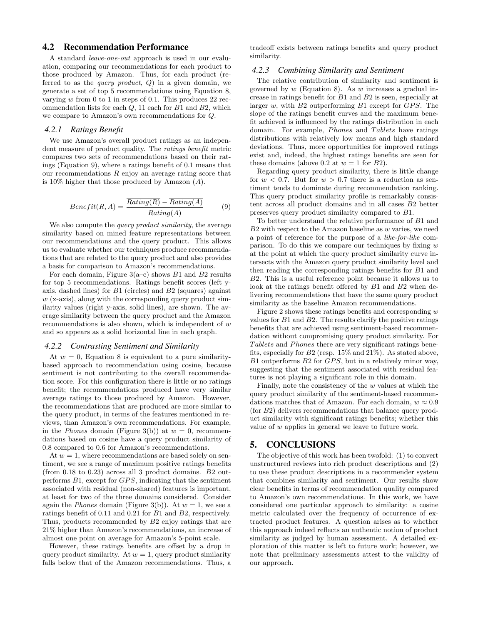# 4.2 Recommendation Performance

A standard leave-one-out approach is used in our evaluation, comparing our recommendations for each product to those produced by Amazon. Thus, for each product (referred to as the *query product*,  $Q$ ) in a given domain, we generate a set of top 5 recommendations using Equation 8, varying  $w$  from 0 to 1 in steps of 0.1. This produces 22 recommendation lists for each  $Q$ , 11 each for  $B1$  and  $B2$ , which we compare to Amazon's own recommendations for Q.

### *4.2.1 Ratings Benefit*

We use Amazon's overall product ratings as an independent measure of product quality. The ratings benefit metric compares two sets of recommendations based on their ratings (Equation 9), where a ratings benefit of 0.1 means that our recommendations  $R$  enjoy an average rating score that is  $10\%$  higher that those produced by Amazon  $(A)$ .

$$
Benefit(R, A) = \frac{\overline{Rating(R)} - \overline{Rating(A)}}{\overline{Rating(A)}}\tag{9}
$$

We also compute the *query product similarity*, the average similarity based on mined feature representations between our recommendations and the query product. This allows us to evaluate whether our techniques produce recommendations that are related to the query product and also provides a basis for comparison to Amazon's recommendations.

For each domain, Figure  $3(a-c)$  shows B1 and B2 results for top 5 recommendations. Ratings benefit scores (left yaxis, dashed lines) for  $B1$  (circles) and  $B2$  (squares) against  $w$  (x-axis), along with the corresponding query product similarity values (right y-axis, solid lines), are shown. The average similarity between the query product and the Amazon recommendations is also shown, which is independent of  $w$ and so appears as a solid horizontal line in each graph.

#### *4.2.2 Contrasting Sentiment and Similarity*

At  $w = 0$ , Equation 8 is equivalent to a pure similaritybased approach to recommendation using cosine, because sentiment is not contributing to the overall recommendation score. For this configuration there is little or no ratings benefit; the recommendations produced have very similar average ratings to those produced by Amazon. However, the recommendations that are produced are more similar to the query product, in terms of the features mentioned in reviews, than Amazon's own recommendations. For example, in the *Phones* domain (Figure 3(b)) at  $w = 0$ , recommendations based on cosine have a query product similarity of 0.8 compared to 0.6 for Amazon's recommendations.

At  $w = 1$ , where recommendations are based solely on sentiment, we see a range of maximum positive ratings benefits (from 0.18 to 0.23) across all 3 product domains. B2 outperforms  $B1$ , except for  $GPS$ , indicating that the sentiment associated with residual (non-shared) features is important, at least for two of the three domains considered. Consider again the *Phones* domain (Figure 3(b)). At  $w = 1$ , we see a ratings benefit of 0.11 and 0.21 for B1 and B2, respectively. Thus, products recommended by B2 enjoy ratings that are 21% higher than Amazon's recommendations, an increase of almost one point on average for Amazon's 5-point scale.

However, these ratings benefits are offset by a drop in query product similarity. At  $w = 1$ , query product similarity falls below that of the Amazon recommendations. Thus, a tradeoff exists between ratings benefits and query product similarity.

#### *4.2.3 Combining Similarity and Sentiment*

The relative contribution of similarity and sentiment is governed by  $w$  (Equation 8). As  $w$  increases a gradual increase in ratings benefit for B1 and B2 is seen, especially at larger w, with  $B2$  outperforming  $B1$  except for  $GPS$ . The slope of the ratings benefit curves and the maximum benefit achieved is influenced by the ratings distribution in each domain. For example, *Phones* and Tablets have ratings distributions with relatively low means and high standard deviations. Thus, more opportunities for improved ratings exist and, indeed, the highest ratings benefits are seen for these domains (above 0.2 at  $w = 1$  for  $B2$ ).

Regarding query product similarity, there is little change for  $w < 0.7$ . But for  $w > 0.7$  there is a reduction as sentiment tends to dominate during recommendation ranking. This query product similarity profile is remarkably consistent across all product domains and in all cases B2 better preserves query product similarity compared to B1.

To better understand the relative performance of B1 and  $B2$  with respect to the Amazon baseline as w varies, we need a point of reference for the purpose of a like-for-like comparison. To do this we compare our techniques by fixing  $w$ at the point at which the query product similarity curve intersects with the Amazon query product similarity level and then reading the corresponding ratings benefits for B1 and B2. This is a useful reference point because it allows us to look at the ratings benefit offered by  $B1$  and  $B2$  when delivering recommendations that have the same query product similarity as the baseline Amazon recommendations.

Figure 2 shows these ratings benefits and corresponding  $w$ values for  $B1$  and  $B2$ . The results clarify the positive ratings benefits that are achieved using sentiment-based recommendation without compromising query product similarity. For Tablets and Phones there are very significant ratings benefits, especially for B2 (resp. 15% and 21%). As stated above,  $B1$  outperforms  $B2$  for  $GPS$ , but in a relatively minor way, suggesting that the sentiment associated with residual features is not playing a significant role in this domain.

Finally, note the consistency of the  $w$  values at which the query product similarity of the sentiment-based recommendations matches that of Amazon. For each domain,  $w \approx 0.9$ (for B2) delivers recommendations that balance query product similarity with significant ratings benefits; whether this value of w applies in general we leave to future work.

#### 5. CONCLUSIONS

The objective of this work has been twofold: (1) to convert unstructured reviews into rich product descriptions and (2) to use these product descriptions in a recommender system that combines similarity and sentiment. Our results show clear benefits in terms of recommendation quality compared to Amazon's own recommendations. In this work, we have considered one particular approach to similarity: a cosine metric calculated over the frequency of occurrence of extracted product features. A question arises as to whether this approach indeed reflects an authentic notion of product similarity as judged by human assessment. A detailed exploration of this matter is left to future work; however, we note that preliminary assessments attest to the validity of our approach.